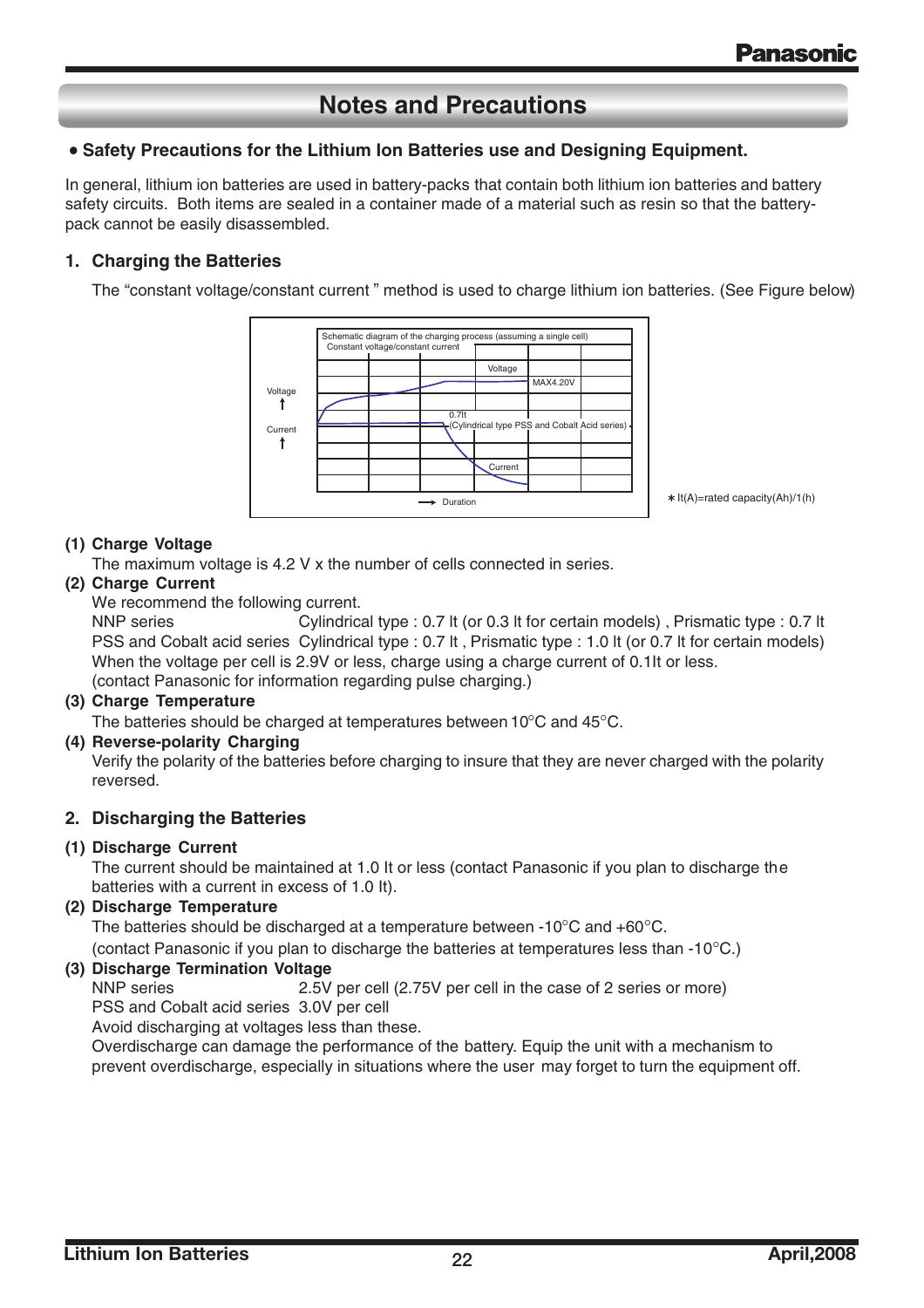# **Notes and Precautions**

### • **Safety Precautions for the Lithium Ion Batteries use and Designing Equipment.**

In general, lithium ion batteries are used in battery-packs that contain both lithium ion batteries and battery safety circuits. Both items are sealed in a container made of a material such as resin so that the batterypack cannot be easily disassembled.

### **1. Charging the Batteries**

The "constant voltage/constant current " method is used to charge lithium ion batteries. (See Figure below.)



It(A)=rated capacity(Ah)/1(h)

### **(1) Charge Voltage**

The maximum voltage is 4.2 V x the number of cells connected in series.

### **(2) Charge Current**

We recommend the following current.

When the voltage per cell is 2.9V or less, charge using a charge current of 0.1It or less . PSS and Cobalt acid series Cylindrical type : 0.7 lt , Prismatic type : 1.0 lt (or 0.7 lt for certain models) NNP series **Solution Cylindrical type : 0.7 lt (or 0.3 lt for certain models)**, Prismatic type : 0.7 lt (contact Panasonic for information regarding pulse charging.)

### **(3) Charge Temperature**

The batteries should be charged at temperatures between 10°C and 45°C.

### **(4) Reverse-polarity Charging**

Verify the polarity of the batteries before charging to insure that they are never charged with the polarity reversed.

### **2. Discharging the Batteries**

### **(1) Discharge Current**

The current should be maintained at 1.0 It or less (contact Panasonic if you plan to discharge the batteries with a current in excess of 1.0 It).

### **(2) Discharge Temperature**

The batteries should be discharged at a temperature between -10°C and +60°C.

(contact Panasonic if you plan to discharge the batteries at temperatures less than -10°C.)

### **(3) Discharge Termination Voltage**

NNP series 2.5V per cell (2.75V per cell in the case of 2 series or more) PSS and Cobalt acid series 3.0V per cell

Avoid discharging at voltages less than these.

Overdischarge can damage the performance of the battery. Equip the unit with a mechanism to prevent overdischarge, especially in situations where the user may forget to turn the equipment off.